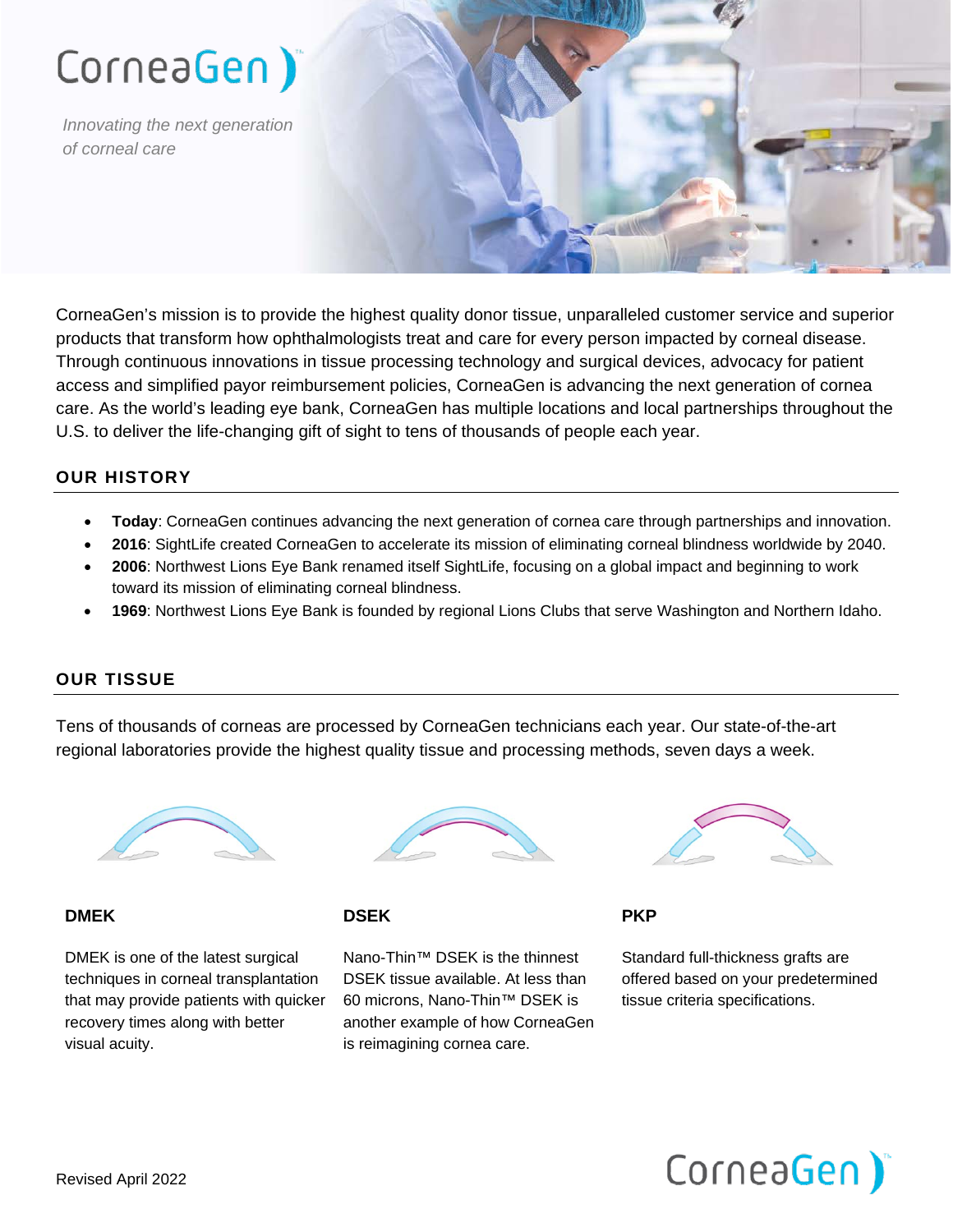# CorneaGen)

*Innovating the next generation of corneal care*

CorneaGen's mission is to provide the highest quality donor tissue, unparalleled customer service and superior products that transform how ophthalmologists treat and care for every person impacted by corneal disease. Through continuous innovations in tissue processing technology and surgical devices, advocacy for patient access and simplified payor reimbursement policies, CorneaGen is advancing the next generation of cornea care. As the world's leading eye bank, CorneaGen has multiple locations and local partnerships throughout the U.S. to deliver the life-changing gift of sight to tens of thousands of people each year.

## **OUR HISTORY**

- **Today**: CorneaGen continues advancing the next generation of cornea care through partnerships and innovation.
- **2016**: SightLife created CorneaGen to accelerate its mission of eliminating corneal blindness worldwide by 2040.
- **2006**: Northwest Lions Eye Bank renamed itself SightLife, focusing on a global impact and beginning to work toward its mission of eliminating corneal blindness.
- **1969**: Northwest Lions Eye Bank is founded by regional Lions Clubs that serve Washington and Northern Idaho.

#### **OUR TISSUE**

Tens of thousands of corneas are processed by CorneaGen technicians each year. Our state-of-the-art regional laboratories provide the highest quality tissue and processing methods, seven days a week.



#### **DMEK**

DMEK is one of the latest surgical techniques in corneal transplantation that may provide patients with quicker recovery times along with better visual acuity.



#### **DSEK**

Nano-Thin™ DSEK is the thinnest DSEK tissue available. At less than 60 microns, Nano-Thin™ DSEK is another example of how CorneaGen is reimagining cornea care.



**PKP**

Standard full-thickness grafts are offered based on your predetermined tissue criteria specifications.

# CorneaGen)